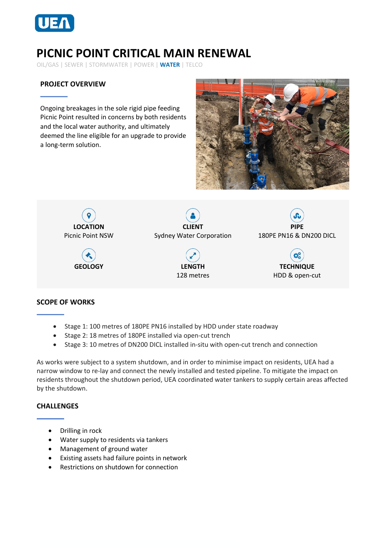

# **PICNIC POINT CRITICAL MAIN RENEWAL**

OIL/GAS | SEWER | STORMWATER | POWER | **WATER** | TELCO

## **PROJECT OVERVIEW**

Ongoing breakages in the sole rigid pipe feeding Picnic Point resulted in concerns by both residents and the local water authority, and ultimately deemed the line eligible for an upgrade to provide a long-term solution.





### **SCOPE OF WORKS**

- Stage 1: 100 metres of 180PE PN16 installed by HDD under state roadway
- Stage 2: 18 metres of 180PE installed via open-cut trench
- Stage 3: 10 metres of DN200 DICL installed in-situ with open-cut trench and connection

As works were subject to a system shutdown, and in order to minimise impact on residents, UEA had a narrow window to re-lay and connect the newly installed and tested pipeline. To mitigate the impact on residents throughout the shutdown period, UEA coordinated water tankers to supply certain areas affected by the shutdown.

#### **CHALLENGES**

- Drilling in rock
- Water supply to residents via tankers
- Management of ground water
- Existing assets had failure points in network
- Restrictions on shutdown for connection